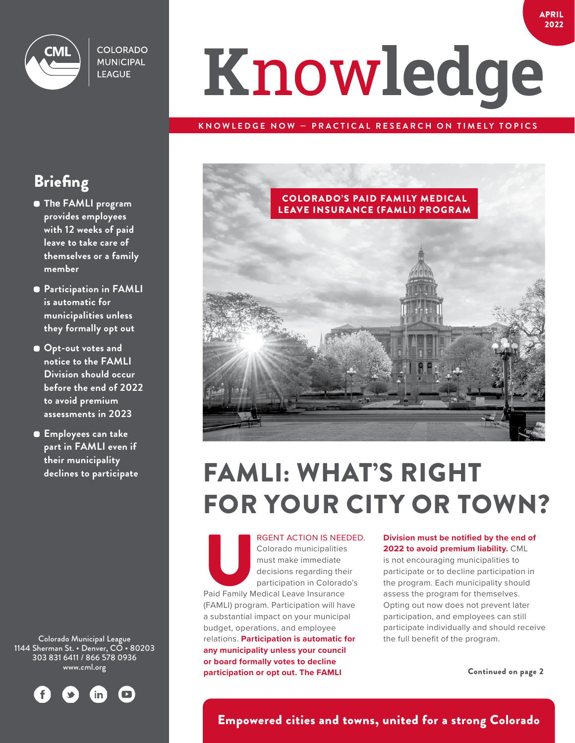

**COLORADO MUNICIPAL LEAGUE** 

# **K**now**ledge**

#### **KNOWLEDGE NOW — PRACTICAL RESEARCH ON TIMELY TOPICS**



### FAMLI: WHAT'S RIGHT FOR YOUR CITY OR TOWN?

www.cml.org Continued on page 2 **participation or opt out. The FAMLI**  RGENT ACTION IS NEEDED.<br>
Colorado municipalities<br>
must make immediate<br>
decisions regarding their<br>
participation in Colorado's<br>
Paid Family Medical Leave Insurance Colorado municipalities must make immediate decisions regarding their participation in Colorado's (FAMLI) program. Participation will have a substantial impact on your municipal budget, operations, and employee relations. **Participation is automatic for any municipality unless your council or board formally votes to decline** 

#### **Division must be notified by the end of 2022 to avoid premium liability.** CML

is not encouraging municipalities to participate or to decline participation in the program. Each municipality should assess the program for themselves. Opting out now does not prevent later participation, and employees can still participate individually and should receive the full benefit of the program.

#### **Briefing**

- **The FAMLI program provides employees with 12 weeks of paid leave to take care of themselves or a family member**
- **Participation in FAMLI is automatic for municipalities unless they formally opt out**
- **Opt-out votes and notice to the FAMLI Division should occur before the end of 2022 to avoid premium assessments in 2023**
- **Employees can take part in FAMLI even if their municipality declines to participate**

Colorado Municipal League 1144 Sherman St. • Denver, CO • 80203 303 831 6411 / 866 578 0936



#### Empowered cities and towns, united for a strong Colorado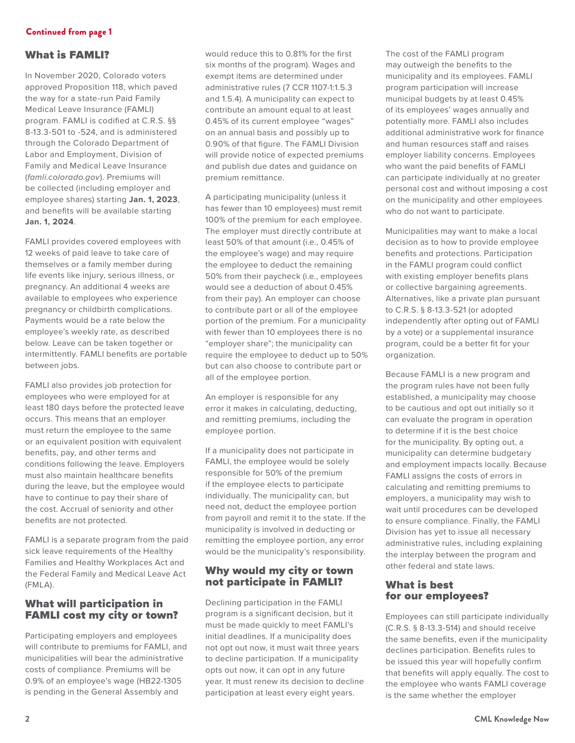#### What is FAMLI?

In November 2020, Colorado voters approved Proposition 118, which paved the way for a state-run Paid Family Medical Leave Insurance (FAMLI) program. FAMLI is codified at C.R.S. §§ 8-13.3-501 to -524, and is administered through the Colorado Department of Labor and Employment, Division of Family and Medical Leave Insurance (*famli.colorado.gov*). Premiums will be collected (including employer and employee shares) starting **Jan. 1, 2023**, and benefits will be available starting **Jan. 1, 2024**.

FAMLI provides covered employees with 12 weeks of paid leave to take care of themselves or a family member during life events like injury, serious illness, or pregnancy. An additional 4 weeks are available to employees who experience pregnancy or childbirth complications. Payments would be a rate below the employee's weekly rate, as described below. Leave can be taken together or intermittently. FAMLI benefits are portable between jobs.

FAMLI also provides job protection for employees who were employed for at least 180 days before the protected leave occurs. This means that an employer must return the employee to the same or an equivalent position with equivalent benefits, pay, and other terms and conditions following the leave. Employers must also maintain healthcare benefits during the leave, but the employee would have to continue to pay their share of the cost. Accrual of seniority and other benefits are not protected.

FAMLI is a separate program from the paid sick leave requirements of the Healthy Families and Healthy Workplaces Act and the Federal Family and Medical Leave Act (FMLA).

#### What will participation in FAMLI cost my city or town?

Participating employers and employees will contribute to premiums for FAMLI, and municipalities will bear the administrative costs of compliance. Premiums will be 0.9% of an employee's wage (HB22-1305 is pending in the General Assembly and

would reduce this to 0.81% for the first six months of the program). Wages and exempt items are determined under administrative rules (7 CCR 1107-1:1.5.3 and 1.5.4). A municipality can expect to contribute an amount equal to at least 0.45% of its current employee "wages" on an annual basis and possibly up to 0.90% of that figure. The FAMLI Division will provide notice of expected premiums and publish due dates and guidance on premium remittance.

A participating municipality (unless it has fewer than 10 employees) must remit 100% of the premium for each employee. The employer must directly contribute at least 50% of that amount (i.e., 0.45% of the employee's wage) and may require the employee to deduct the remaining 50% from their paycheck (i.e., employees would see a deduction of about 0.45% from their pay). An employer can choose to contribute part or all of the employee portion of the premium. For a municipality with fewer than 10 employees there is no "employer share"; the municipality can require the employee to deduct up to 50% but can also choose to contribute part or all of the employee portion.

An employer is responsible for any error it makes in calculating, deducting, and remitting premiums, including the employee portion.

If a municipality does not participate in FAMLI, the employee would be solely responsible for 50% of the premium if the employee elects to participate individually. The municipality can, but need not, deduct the employee portion from payroll and remit it to the state. If the municipality is involved in deducting or remitting the employee portion, any error would be the municipality's responsibility.

#### Why would my city or town not participate in FAMLI?

Declining participation in the FAMLI program is a significant decision, but it must be made quickly to meet FAMLI's initial deadlines. If a municipality does not opt out now, it must wait three years to decline participation. If a municipality opts out now, it can opt in any future year. It must renew its decision to decline participation at least every eight years.

The cost of the FAMLI program may outweigh the benefits to the municipality and its employees. FAMLI program participation will increase municipal budgets by at least 0.45% of its employees' wages annually and potentially more. FAMLI also includes additional administrative work for finance and human resources staff and raises employer liability concerns. Employees who want the paid benefits of FAMLI can participate individually at no greater personal cost and without imposing a cost on the municipality and other employees who do not want to participate.

Municipalities may want to make a local decision as to how to provide employee benefits and protections. Participation in the FAMLI program could conflict with existing employer benefits plans or collective bargaining agreements. Alternatives, like a private plan pursuant to C.R.S. § 8-13.3-521 (or adopted independently after opting out of FAMLI by a vote) or a supplemental insurance program, could be a better fit for your organization.

Because FAMLI is a new program and the program rules have not been fully established, a municipality may choose to be cautious and opt out initially so it can evaluate the program in operation to determine if it is the best choice for the municipality. By opting out, a municipality can determine budgetary and employment impacts locally. Because FAMLI assigns the costs of errors in calculating and remitting premiums to employers, a municipality may wish to wait until procedures can be developed to ensure compliance. Finally, the FAMLI Division has yet to issue all necessary administrative rules, including explaining the interplay between the program and other federal and state laws.

#### What is best for our employees?

Employees can still participate individually (C.R.S. § 8-13.3-514) and should receive the same benefits, even if the municipality declines participation. Benefits rules to be issued this year will hopefully confirm that benefits will apply equally. The cost to the employee who wants FAMLI coverage is the same whether the employer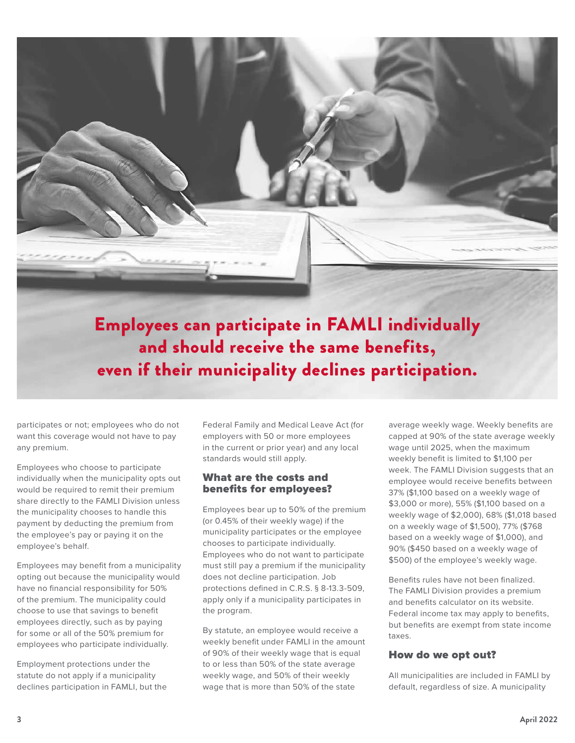

even if their municipality declines participation.

participates or not; employees who do not want this coverage would not have to pay any premium.

Employees who choose to participate individually when the municipality opts out would be required to remit their premium share directly to the FAMLI Division unless the municipality chooses to handle this payment by deducting the premium from the employee's pay or paying it on the employee's behalf.

Employees may benefit from a municipality opting out because the municipality would have no financial responsibility for 50% of the premium. The municipality could choose to use that savings to benefit employees directly, such as by paying for some or all of the 50% premium for employees who participate individually.

Employment protections under the statute do not apply if a municipality declines participation in FAMLI, but the Federal Family and Medical Leave Act (for employers with 50 or more employees in the current or prior year) and any local standards would still apply.

#### What are the costs and benefits for employees?

Employees bear up to 50% of the premium (or 0.45% of their weekly wage) if the municipality participates or the employee chooses to participate individually. Employees who do not want to participate must still pay a premium if the municipality does not decline participation. Job protections defined in C.R.S. § 8-13.3-509, apply only if a municipality participates in the program.

By statute, an employee would receive a weekly benefit under FAMLI in the amount of 90% of their weekly wage that is equal to or less than 50% of the state average weekly wage, and 50% of their weekly wage that is more than 50% of the state

average weekly wage. Weekly benefits are capped at 90% of the state average weekly wage until 2025, when the maximum weekly benefit is limited to \$1,100 per week. The FAMLI Division suggests that an employee would receive benefits between 37% (\$1,100 based on a weekly wage of \$3,000 or more), 55% (\$1,100 based on a weekly wage of \$2,000), 68% (\$1,018 based on a weekly wage of \$1,500), 77% (\$768 based on a weekly wage of \$1,000), and 90% (\$450 based on a weekly wage of \$500) of the employee's weekly wage.

Benefits rules have not been finalized. The FAMLI Division provides a premium and benefits calculator on its website. Federal income tax may apply to benefits, but benefits are exempt from state income taxes.

#### How do we opt out?

All municipalities are included in FAMLI by default, regardless of size. A municipality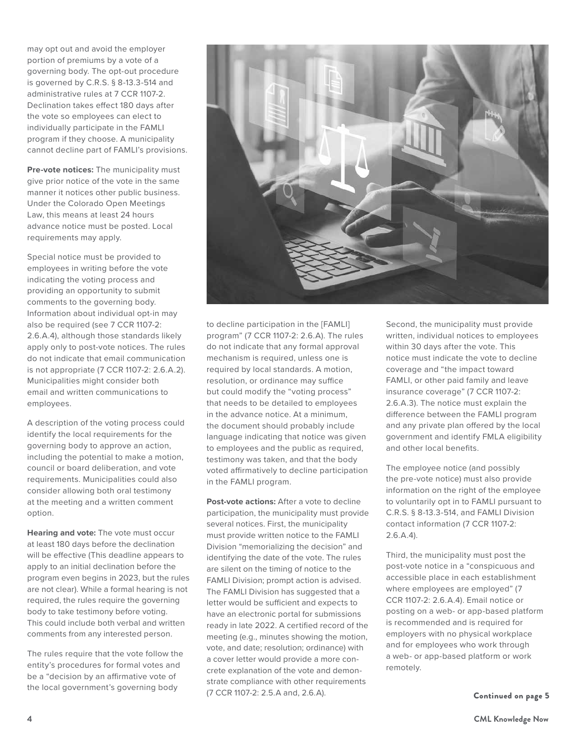may opt out and avoid the employer portion of premiums by a vote of a governing body. The opt-out procedure is governed by C.R.S. § 8-13.3-514 and administrative rules at 7 CCR 1107-2. Declination takes effect 180 days after the vote so employees can elect to individually participate in the FAMLI program if they choose. A municipality cannot decline part of FAMLI's provisions.

**Pre-vote notices:** The municipality must give prior notice of the vote in the same manner it notices other public business. Under the Colorado Open Meetings Law, this means at least 24 hours advance notice must be posted. Local requirements may apply.

Special notice must be provided to employees in writing before the vote indicating the voting process and providing an opportunity to submit comments to the governing body. Information about individual opt-in may also be required (see 7 CCR 1107-2: 2.6.A.4), although those standards likely apply only to post-vote notices. The rules do not indicate that email communication is not appropriate (7 CCR 1107-2: 2.6.A.2). Municipalities might consider both email and written communications to employees.

A description of the voting process could identify the local requirements for the governing body to approve an action, including the potential to make a motion, council or board deliberation, and vote requirements. Municipalities could also consider allowing both oral testimony at the meeting and a written comment option.

**Hearing and vote:** The vote must occur at least 180 days before the declination will be effective (This deadline appears to apply to an initial declination before the program even begins in 2023, but the rules are not clear). While a formal hearing is not required, the rules require the governing body to take testimony before voting. This could include both verbal and written comments from any interested person.

The rules require that the vote follow the entity's procedures for formal votes and be a "decision by an affirmative vote of the local government's governing body



to decline participation in the [FAMLI] program" (7 CCR 1107-2: 2.6.A). The rules do not indicate that any formal approval mechanism is required, unless one is required by local standards. A motion, resolution, or ordinance may suffice but could modify the "voting process" that needs to be detailed to employees in the advance notice. At a minimum, the document should probably include language indicating that notice was given to employees and the public as required, testimony was taken, and that the body voted affirmatively to decline participation in the FAMLI program.

**Post-vote actions:** After a vote to decline participation, the municipality must provide several notices. First, the municipality must provide written notice to the FAMLI Division "memorializing the decision" and identifying the date of the vote. The rules are silent on the timing of notice to the FAMLI Division; prompt action is advised. The FAMLI Division has suggested that a letter would be sufficient and expects to have an electronic portal for submissions ready in late 2022. A certified record of the meeting (e.g., minutes showing the motion, vote, and date; resolution; ordinance) with a cover letter would provide a more concrete explanation of the vote and demonstrate compliance with other requirements (7 CCR 1107-2: 2.5.A and, 2.6.A).

Second, the municipality must provide written, individual notices to employees within 30 days after the vote. This notice must indicate the vote to decline coverage and "the impact toward FAMLI, or other paid family and leave insurance coverage" (7 CCR 1107-2: 2.6.A.3). The notice must explain the difference between the FAMLI program and any private plan offered by the local government and identify FMLA eligibility and other local benefits.

The employee notice (and possibly the pre-vote notice) must also provide information on the right of the employee to voluntarily opt in to FAMLI pursuant to C.R.S. § 8-13.3-514, and FAMLI Division contact information (7 CCR 1107-2: 2.6.A.4).

Third, the municipality must post the post-vote notice in a "conspicuous and accessible place in each establishment where employees are employed" (7 CCR 1107-2: 2.6.A.4). Email notice or posting on a web- or app-based platform is recommended and is required for employers with no physical workplace and for employees who work through a web- or app-based platform or work remotely.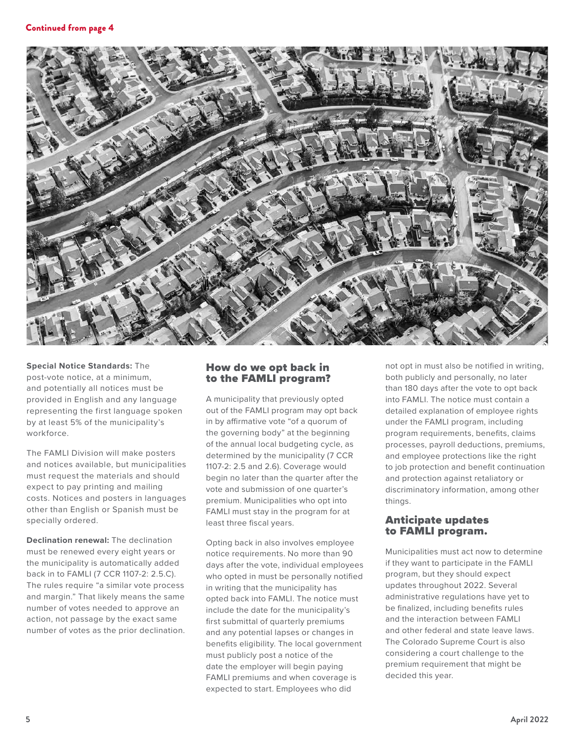

**Special Notice Standards:** The post-vote notice, at a minimum, and potentially all notices must be provided in English and any language representing the first language spoken by at least 5% of the municipality's workforce.

The FAMLI Division will make posters and notices available, but municipalities must request the materials and should expect to pay printing and mailing costs. Notices and posters in languages other than English or Spanish must be specially ordered.

**Declination renewal:** The declination must be renewed every eight years or the municipality is automatically added back in to FAMLI (7 CCR 1107-2: 2.5.C). The rules require "a similar vote process and margin." That likely means the same number of votes needed to approve an action, not passage by the exact same number of votes as the prior declination.

#### How do we opt back in to the FAMLI program?

A municipality that previously opted out of the FAMLI program may opt back in by affirmative vote "of a quorum of the governing body" at the beginning of the annual local budgeting cycle, as determined by the municipality (7 CCR 1107-2: 2.5 and 2.6). Coverage would begin no later than the quarter after the vote and submission of one quarter's premium. Municipalities who opt into FAMLI must stay in the program for at least three fiscal years.

Opting back in also involves employee notice requirements. No more than 90 days after the vote, individual employees who opted in must be personally notified in writing that the municipality has opted back into FAMLI. The notice must include the date for the municipality's first submittal of quarterly premiums and any potential lapses or changes in benefits eligibility. The local government must publicly post a notice of the date the employer will begin paying FAMLI premiums and when coverage is expected to start. Employees who did

not opt in must also be notified in writing, both publicly and personally, no later than 180 days after the vote to opt back into FAMLI. The notice must contain a detailed explanation of employee rights under the FAMLI program, including program requirements, benefits, claims processes, payroll deductions, premiums, and employee protections like the right to job protection and benefit continuation and protection against retaliatory or discriminatory information, among other things.

#### Anticipate updates to FAMLI program.

Municipalities must act now to determine if they want to participate in the FAMLI program, but they should expect updates throughout 2022. Several administrative regulations have yet to be finalized, including benefits rules and the interaction between FAMLI and other federal and state leave laws. The Colorado Supreme Court is also considering a court challenge to the premium requirement that might be decided this year.